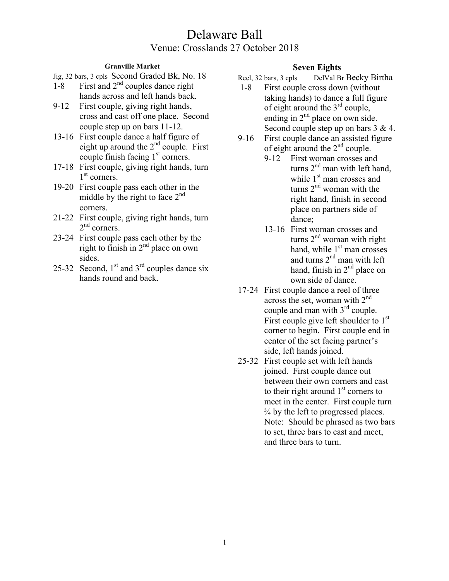## **Granville Market**

Jig, 32 bars, 3 cpls Second Graded Bk, No. 18

- 1-8 First and  $2<sup>nd</sup>$  couples dance right hands across and left hands back.
- 9-12 First couple, giving right hands, cross and cast off one place. Second couple step up on bars 11-12.
- 13-16 First couple dance a half figure of eight up around the  $2<sup>nd</sup>$  couple. First couple finish facing 1<sup>st</sup> corners.
- 17-18 First couple, giving right hands, turn  $1<sup>st</sup>$  corners.
- 19-20 First couple pass each other in the middle by the right to face  $2<sup>nd</sup>$ corners.
- 21-22 First couple, giving right hands, turn  $2<sup>nd</sup>$  corners.
- 23-24 First couple pass each other by the right to finish in 2nd place on own sides.
- 25-32 Second,  $1<sup>st</sup>$  and  $3<sup>rd</sup>$  couples dance six hands round and back.

# **Seven Eights**

- Reel, 32 bars, 3 cpls DelVal Br Becky Birtha
- 1-8 First couple cross down (without taking hands) to dance a full figure of eight around the  $3<sup>rd</sup>$  couple, ending in  $2<sup>nd</sup>$  place on own side. Second couple step up on bars  $3 \& 4$ .
- 9-16 First couple dance an assisted figure of eight around the  $2<sup>nd</sup>$  couple.
	- 9-12 First woman crosses and turns 2<sup>nd</sup> man with left hand, while 1<sup>st</sup> man crosses and turns  $2<sup>nd</sup>$  woman with the right hand, finish in second place on partners side of dance;
	- 13-16 First woman crosses and turns  $2<sup>nd</sup>$  woman with right hand, while  $1<sup>st</sup>$  man crosses and turns  $2<sup>nd</sup>$  man with left hand, finish in  $2<sup>nd</sup>$  place on own side of dance.
- 17-24 First couple dance a reel of three across the set, woman with  $2<sup>nd</sup>$ couple and man with  $3<sup>rd</sup>$  couple. First couple give left shoulder to  $1<sup>st</sup>$ corner to begin. First couple end in center of the set facing partner's side, left hands joined.
- 25-32 First couple set with left hands joined. First couple dance out between their own corners and cast to their right around  $1<sup>st</sup>$  corners to meet in the center. First couple turn ¾ by the left to progressed places. Note: Should be phrased as two bars to set, three bars to cast and meet, and three bars to turn.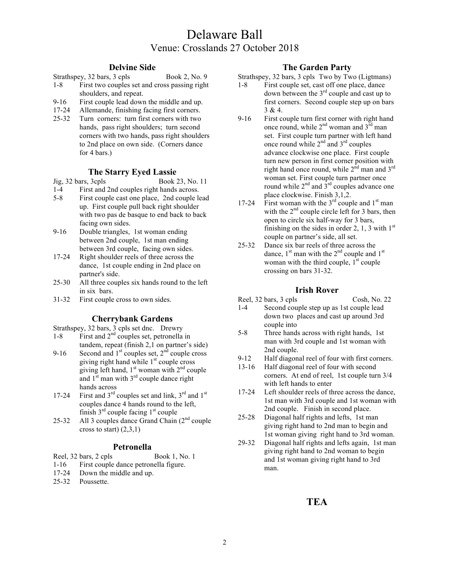### **Delvine Side**

- Strathspey, 32 bars, 3 cpls Book 2, No. 9 1-8 First two couples set and cross passing right shoulders, and repeat.
- 9-16 First couple lead down the middle and up.
- 17-24 Allemande, finishing facing first corners.
- 25-32 Turn corners: turn first corners with two hands, pass right shoulders; turn second corners with two hands, pass right shoulders to 2nd place on own side. (Corners dance for 4 bars.)

### **The Starry Eyed Lassie**

Jig, 32 bars, 3cpls Book 23, No. 11

- 1-4 First and 2nd couples right hands across.
- 5-8 First couple cast one place, 2nd couple lead up. First couple pull back right shoulder with two pas de basque to end back to back facing own sides.
- 9-16 Double triangles, 1st woman ending between 2nd couple, 1st man ending between 3rd couple, facing own sides.
- 17-24 Right shoulder reels of three across the dance, 1st couple ending in 2nd place on partner's side.
- 25-30 All three couples six hands round to the left in six bars.
- 31-32 First couple cross to own sides.

### **Cherrybank Gardens**

Strathspey, 32 bars, 3 cpls set dnc. Drewry

- 1-8 First and  $2<sup>nd</sup>$  couples set, petronella in tandem, repeat (finish 2,1 on partner's side)
- 9-16 Second and  $1<sup>st</sup>$  couples set,  $2<sup>nd</sup>$  couple cross giving right hand while  $1<sup>st</sup>$  couple cross giving left hand,  $1<sup>st</sup>$  woman with  $2<sup>nd</sup>$  couple and  $1<sup>st</sup>$  man with  $3<sup>rd</sup>$  couple dance right hands across
- 17-24 First and  $3<sup>rd</sup>$  couples set and link,  $3<sup>rd</sup>$  and  $1<sup>st</sup>$ couples dance 4 hands round to the left, finish  $3<sup>rd</sup>$  couple facing  $1<sup>st</sup>$  couple
- 25-32 All 3 couples dance Grand Chain  $(2<sup>nd</sup>$  couple cross to start)  $(2,3,1)$

### **Petronella**

- Reel, 32 bars, 2 cpls Book 1, No. 1
- 1-16 First couple dance petronella figure.
- 17-24 Down the middle and up.
- 25-32 Poussette.

## **The Garden Party**

Strathspey, 32 bars, 3 cpls Two by Two (Ligtmans)

- 1-8 First couple set, cast off one place, dance down between the  $3<sup>rd</sup>$  couple and cast up to first corners. Second couple step up on bars 3 & 4.
- 9-16 First couple turn first corner with right hand once round, while  $2^{nd}$  woman and  $3^{rd}$  man set. First couple turn partner with left hand once round while  $2<sup>nd</sup>$  and  $3<sup>rd</sup>$  couples advance clockwise one place. First couple turn new person in first corner position with right hand once round, while  $2^{\text{nd}}$  man and  $3^{\text{rd}}$ woman set. First couple turn partner once round while  $2<sup>nd</sup>$  and  $3<sup>rd</sup>$  couples advance one place clockwise. Finish 3,1,2.
- 17-24 First woman with the  $3<sup>rd</sup>$  couple and  $1<sup>st</sup>$  man with the  $2<sup>nd</sup>$  couple circle left for 3 bars, then open to circle six half-way for 3 bars, finishing on the sides in order 2, 1, 3 with  $1<sup>st</sup>$ couple on partner's side, all set.
- 25-32 Dance six bar reels of three across the dance,  $1<sup>st</sup>$  man with the  $2<sup>nd</sup>$  couple and  $1<sup>st</sup>$ woman with the third couple,  $1<sup>st</sup>$  couple crossing on bars 31-32.

## **Irish Rover**

#### Reel, 32 bars, 3 cpls Cosh, No. 22 1-4 Second couple step up as 1st couple lead down two places and cast up around 3rd couple into

- 5-8 Three hands across with right hands, 1st man with 3rd couple and 1st woman with 2nd couple.
- 9-12 Half diagonal reel of four with first corners.
- 13-16 Half diagonal reel of four with second corners. At end of reel, 1st couple turn 3/4 with left hands to enter
- 17-24 Left shoulder reels of three across the dance, 1st man with 3rd couple and 1st woman with 2nd couple. Finish in second place.
- 25-28 Diagonal half rights and lefts, 1st man giving right hand to 2nd man to begin and 1st woman giving right hand to 3rd woman.
- 29-32 Diagonal half rights and lefts again, 1st man giving right hand to 2nd woman to begin and 1st woman giving right hand to 3rd man.

# **TEA**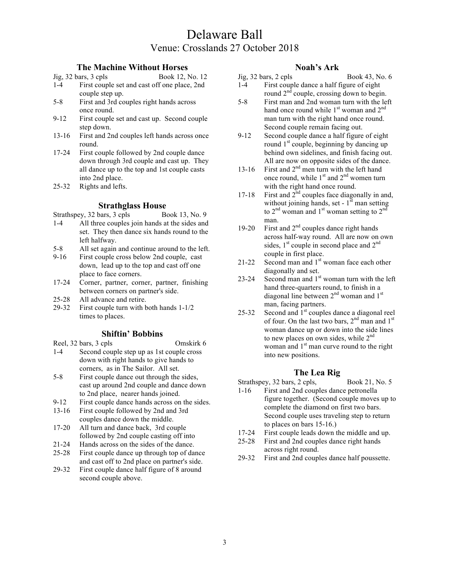## **The Machine Without Horses**

- Jig, 32 bars, 3 cpls Book 12, No. 12 1-4 First couple set and cast off one place, 2nd couple step up.
- 5-8 First and 3rd couples right hands across once round.
- 9-12 First couple set and cast up. Second couple step down.
- 13-16 First and 2nd couples left hands across once round.
- 17-24 First couple followed by 2nd couple dance down through 3rd couple and cast up. They all dance up to the top and 1st couple casts into 2nd place.
- 25-32 Rights and lefts.

### **Strathglass House**

- Strathspey,  $32 \text{ bars}$ ,  $3 \text{ cpls}$  Book 13, No. 9
- 1-4 All three couples join hands at the sides and set. They then dance six hands round to the left halfway.
- 5-8 All set again and continue around to the left.
- 9-16 First couple cross below 2nd couple, cast down, lead up to the top and cast off one place to face corners.
- 17-24 Corner, partner, corner, partner, finishing between corners on partner's side.
- 25-28 All advance and retire.
- 29-32 First couple turn with both hands 1-1/2 times to places.

### **Shiftin' Bobbins**

Reel, 32 bars, 3 cpls Omskirk 6

- 1-4 Second couple step up as 1st couple cross down with right hands to give hands to corners, as in The Sailor. All set.
- 5-8 First couple dance out through the sides, cast up around 2nd couple and dance down to 2nd place, nearer hands joined.
- 9-12 First couple dance hands across on the sides.
- 13-16 First couple followed by 2nd and 3rd couples dance down the middle.
- 17-20 All turn and dance back, 3rd couple followed by 2nd couple casting off into
- 21-24 Hands across on the sides of the dance.
- 25-28 First couple dance up through top of dance and cast off to 2nd place on partner's side.
- 29-32 First couple dance half figure of 8 around second couple above.

### **Noah's Ark**

- Jig, 32 bars, 2 cpls Book 43, No. 6 1-4 First couple dance a half figure of eight round  $2<sup>nd</sup>$  couple, crossing down to begin.
- 5-8 First man and 2nd woman turn with the left hand once round while  $1<sup>st</sup>$  woman and  $2<sup>nd</sup>$ man turn with the right hand once round. Second couple remain facing out.
- 9-12 Second couple dance a half figure of eight round  $1<sup>st</sup>$  couple, beginning by dancing up behind own sidelines, and finish facing out. All are now on opposite sides of the dance.
- 13-16 First and  $2<sup>nd</sup>$  men turn with the left hand once round, while  $1<sup>st</sup>$  and  $2<sup>nd</sup>$  women turn with the right hand once round.
- 17-18 First and  $2<sup>nd</sup>$  couples face diagonally in and, without joining hands, set -  $1<sup>st</sup>$  man setting to  $2<sup>nd</sup>$  woman and  $1<sup>st</sup>$  woman setting to  $2<sup>nd</sup>$ man.
- 19-20 First and  $2<sup>nd</sup>$  couples dance right hands across half-way round. All are now on own sides,  $1<sup>st</sup>$  couple in second place and  $2<sup>nd</sup>$ couple in first place.
- 21-22 Second man and  $1<sup>st</sup>$  woman face each other diagonally and set.
- 23-24 Second man and  $1<sup>st</sup>$  woman turn with the left hand three-quarters round, to finish in a diagonal line between  $2<sup>nd</sup>$  woman and  $1<sup>st</sup>$ man, facing partners.
- 25-32 Second and  $1<sup>st</sup>$  couples dance a diagonal reel of four. On the last two bars,  $2<sup>nd</sup>$  man and  $1<sup>st</sup>$ woman dance up or down into the side lines to new places on own sides, while  $2<sup>nd</sup>$ woman and  $1<sup>st</sup>$  man curve round to the right into new positions.

### **The Lea Rig**

- Strathspey, 32 bars, 2 cpls, Book 21, No. 5
- 1-16 First and 2nd couples dance petronella figure together. (Second couple moves up to complete the diamond on first two bars. Second couple uses traveling step to return to places on bars 15-16.)
- 17-24 First couple leads down the middle and up.
- 25-28 First and 2nd couples dance right hands across right round.
- 29-32 First and 2nd couples dance half poussette.